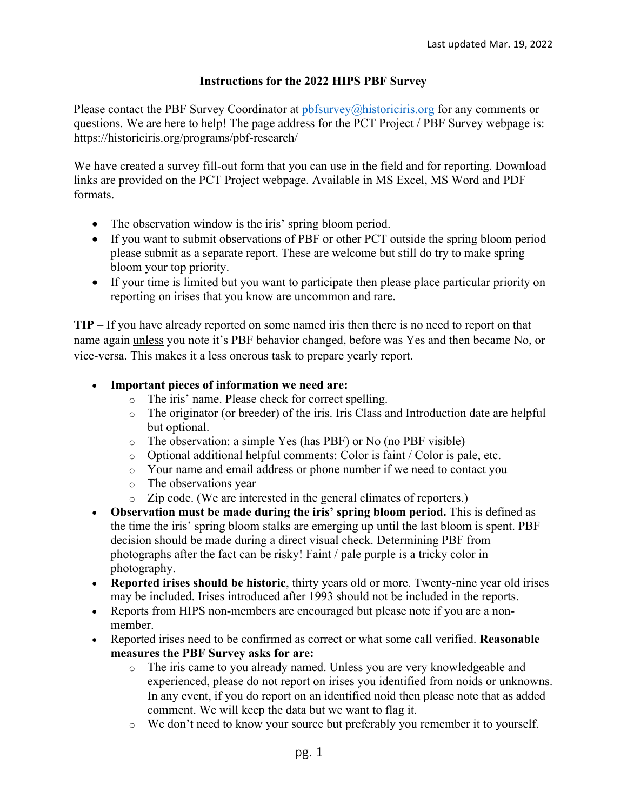## **Instructions for the 2022 HIPS PBF Survey**

Please contact the PBF Survey Coordinator at pbfsurvey@historiciris.org for any comments or questions. We are here to help! The page address for the PCT Project / PBF Survey webpage is: https://historiciris.org/programs/pbf-research/

We have created a survey fill-out form that you can use in the field and for reporting. Download links are provided on the PCT Project webpage. Available in MS Excel, MS Word and PDF formats.

- The observation window is the iris' spring bloom period.
- If you want to submit observations of PBF or other PCT outside the spring bloom period please submit as a separate report. These are welcome but still do try to make spring bloom your top priority.
- If your time is limited but you want to participate then please place particular priority on reporting on irises that you know are uncommon and rare.

**TIP** – If you have already reported on some named iris then there is no need to report on that name again unless you note it's PBF behavior changed, before was Yes and then became No, or vice-versa. This makes it a less onerous task to prepare yearly report.

## • **Important pieces of information we need are:**

- o The iris' name. Please check for correct spelling.
- o The originator (or breeder) of the iris. Iris Class and Introduction date are helpful but optional.
- o The observation: a simple Yes (has PBF) or No (no PBF visible)
- o Optional additional helpful comments: Color is faint / Color is pale, etc.
- o Your name and email address or phone number if we need to contact you
- o The observations year
- o Zip code. (We are interested in the general climates of reporters.)
- **Observation must be made during the iris' spring bloom period.** This is defined as the time the iris' spring bloom stalks are emerging up until the last bloom is spent. PBF decision should be made during a direct visual check. Determining PBF from photographs after the fact can be risky! Faint / pale purple is a tricky color in photography.
- **Reported irises should be historic**, thirty years old or more. Twenty-nine year old irises may be included. Irises introduced after 1993 should not be included in the reports.
- Reports from HIPS non-members are encouraged but please note if you are a nonmember.
- Reported irises need to be confirmed as correct or what some call verified. **Reasonable measures the PBF Survey asks for are:**
	- o The iris came to you already named. Unless you are very knowledgeable and experienced, please do not report on irises you identified from noids or unknowns. In any event, if you do report on an identified noid then please note that as added comment. We will keep the data but we want to flag it.
	- o We don't need to know your source but preferably you remember it to yourself.